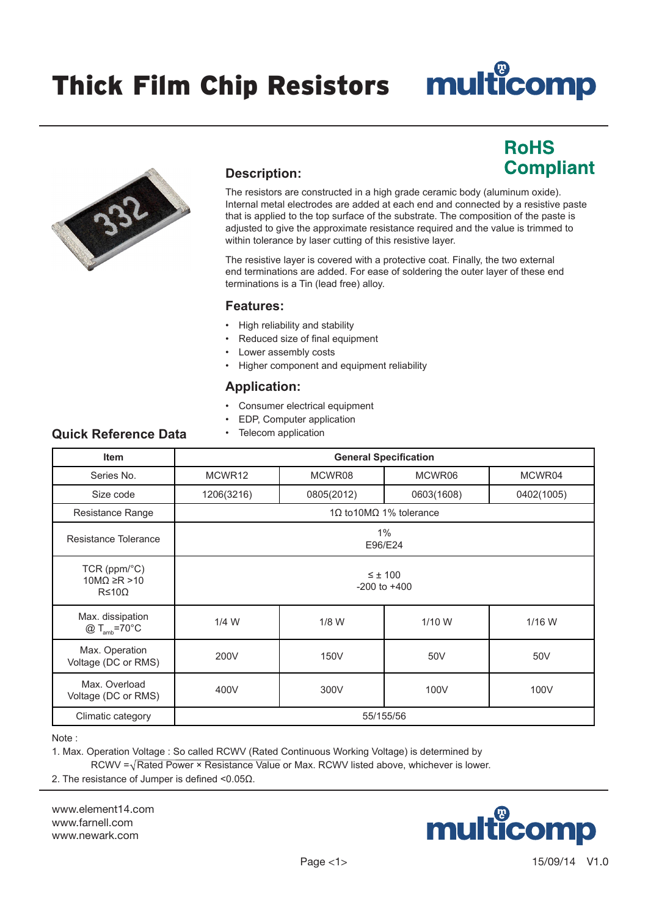**RoHS** 

**Compliant** 



#### **Description:**

The resistors are constructed in a high grade ceramic body (aluminum oxide). Internal metal electrodes are added at each end and connected by a resistive paste that is applied to the top surface of the substrate. The composition of the paste is adjusted to give the approximate resistance required and the value is trimmed to within tolerance by laser cutting of this resistive layer.

The resistive layer is covered with a protective coat. Finally, the two external end terminations are added. For ease of soldering the outer layer of these end terminations is a Tin (lead free) alloy.

#### **Features:**

- High reliability and stability
- Reduced size of final equipment
- Lower assembly costs
- Higher component and equipment reliability

#### **Application:**

- Consumer electrical equipment
- EDP, Computer application
- Telecom application

### **Quick Reference Data**

| <b>Item</b>                                                           | <b>General Specification</b>               |            |                         |            |  |
|-----------------------------------------------------------------------|--------------------------------------------|------------|-------------------------|------------|--|
| Series No.                                                            | MCWR <sub>12</sub><br>MCWR08               |            | MCWR06                  | MCWR04     |  |
| Size code                                                             | 1206(3216)                                 | 0805(2012) | 0603(1608)              | 0402(1005) |  |
| Resistance Range                                                      |                                            |            | 1Ω to 10MΩ 1% tolerance |            |  |
| Resistance Tolerance                                                  |                                            |            | 1%<br>E96/E24           |            |  |
| $TCR (ppm$ <sup>o</sup> $C)$<br>$10M\Omega \ge R > 10$<br>$R \leq 10$ | $\leq \pm 100$<br>$-200$ to $+400$         |            |                         |            |  |
| Max. dissipation<br>$@T_{amb} = 70°C$                                 | $1/4$ W<br>$1/8$ W<br>$1/16$ W<br>$1/10$ W |            |                         |            |  |
| Max. Operation<br>Voltage (DC or RMS)                                 | 200V<br>150V<br>50V<br>50V                 |            |                         |            |  |
| Max. Overload<br>Voltage (DC or RMS)                                  | 400V<br>100V<br>300V<br>100V               |            |                         |            |  |
| Climatic category                                                     | 55/155/56                                  |            |                         |            |  |

#### Note :

1. Max. Operation Voltage : So called RCWV (Rated Continuous Working Voltage) is determined by RCWV  $=\sqrt{Rated}$  Power  $\times$  Resistance Value or Max. RCWV listed above, whichever is lower.

2. The resistance of Jumper is defined <0.05Ω.

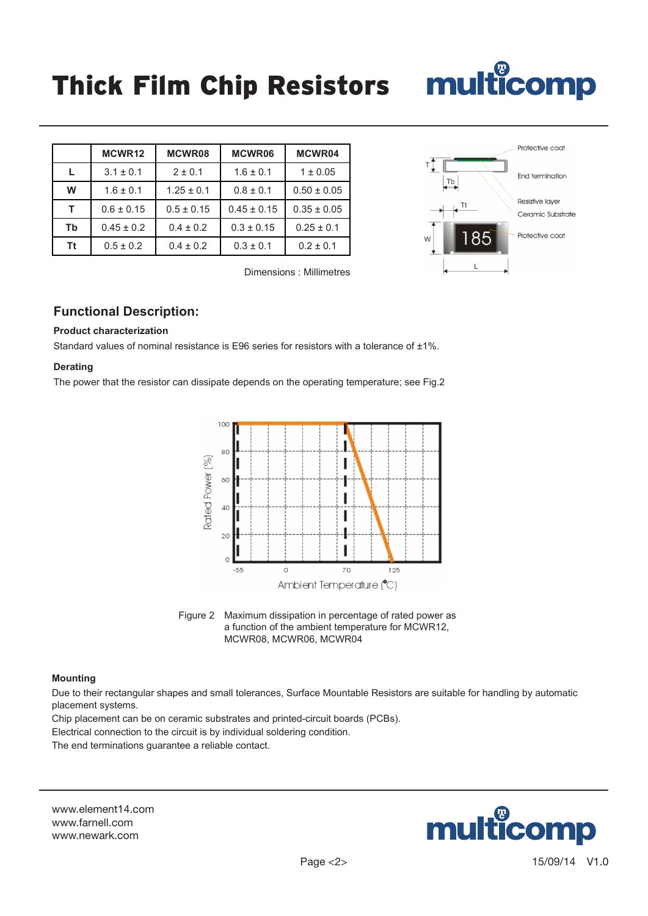|           | MCWR12         | MCWR08         | <b>MCWR06</b>   | MCWR04          |
|-----------|----------------|----------------|-----------------|-----------------|
| L.        | $3.1 \pm 0.1$  | $2 \pm 0.1$    | $1.6 \pm 0.1$   | $1 \pm 0.05$    |
| W         | $1.6 \pm 0.1$  | $1.25 \pm 0.1$ | $0.8 \pm 0.1$   | $0.50 \pm 0.05$ |
| т         | $0.6 \pm 0.15$ | $0.5 \pm 0.15$ | $0.45 \pm 0.15$ | $0.35 \pm 0.05$ |
| Tb        | $0.45 \pm 0.2$ | $0.4 \pm 0.2$  | $0.3 \pm 0.15$  | $0.25 \pm 0.1$  |
| <b>Tt</b> | $0.5 \pm 0.2$  | $0.4 \pm 0.2$  | $0.3 \pm 0.1$   | $0.2 \pm 0.1$   |

Dimensions : Millimetres



#### **Functional Description:**

#### **Product characterization**

Standard values of nominal resistance is E96 series for resistors with a tolerance of +1%.

#### **Derating**

The power that the resistor can dissipate depends on the operating temperature; see Fig.2





#### **Mounting**

Due to their rectangular shapes and small tolerances, Surface Mountable Resistors are suitable for handling by automatic placement systems.

Chip placement can be on ceramic substrates and printed-circuit boards (PCBs).

Electrical connection to the circuit is by individual soldering condition.

The end terminations guarantee a reliable contact.

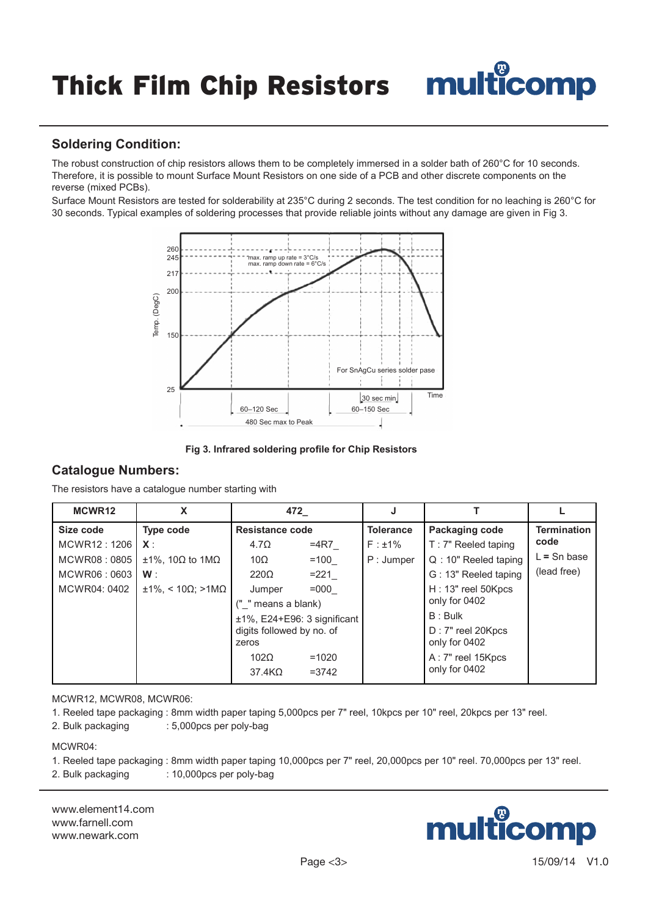#### **Soldering Condition:**

The robust construction of chip resistors allows them to be completely immersed in a solder bath of 260°C for 10 seconds. Therefore, it is possible to mount Surface Mount Resistors on one side of a PCB and other discrete components on the reverse (mixed PCBs).

Surface Mount Resistors are tested for solderability at 235°C during 2 seconds. The test condition for no leaching is 260°C for 30 seconds. Typical examples of soldering processes that provide reliable joints without any damage are given in Fig 3.



**Fig 3. Infrared soldering profile for Chip Resistors**

#### **Catalogue Numbers:**

The resistors have a catalogue number starting with

| MCWR12       | X                                   |                           | 472                             |                  |                       |                    |
|--------------|-------------------------------------|---------------------------|---------------------------------|------------------|-----------------------|--------------------|
| Size code    | <b>Type code</b>                    | Resistance code           |                                 | <b>Tolerance</b> | Packaging code        | <b>Termination</b> |
| MCWR12: 1206 | $X$ :                               | $4.7\Omega$               | $=4R7$                          | $F : \pm 1\%$    | T: 7" Reeled taping   | code               |
| MCWR08:0805  | $±1\%$ . 10 $\Omega$ to 1M $\Omega$ | 10Ω                       | $=100$                          | P: Jumper        | $Q:10"$ Reeled taping | $L =$ Sn base      |
| MCWR06:0603  | W:                                  | $220\Omega$               | $=221$                          |                  | G: 13" Reeled taping  | (lead free)        |
| MCWR04: 0402 | $±1\%$ . < 10Ω: >1ΜΩ                | Jumper                    | $=000$                          |                  | H: 13" reel 50Kpcs    |                    |
|              |                                     | (" " means a blank)       |                                 |                  | only for 0402         |                    |
|              |                                     |                           | $±1\%$ , E24+E96: 3 significant |                  | $B:$ Bulk             |                    |
|              |                                     | digits followed by no. of |                                 |                  | D: 7" reel 20Kpcs     |                    |
|              |                                     | zeros                     |                                 |                  | only for 0402         |                    |
|              |                                     | $102\Omega$               | $=1020$                         |                  | A: 7" reel 15Kpcs     |                    |
|              |                                     | $37.4K\Omega$             | $= 3742$                        |                  | only for 0402         |                    |

#### MCWR12, MCWR08, MCWR06:

- 1. Reeled tape packaging : 8mm width paper taping 5,000pcs per 7" reel, 10kpcs per 10" reel, 20kpcs per 13" reel.
- 2. Bulk packaging : 5,000pcs per poly-bag

MCWR04:

1. Reeled tape packaging : 8mm width paper taping 10,000pcs per 7" reel, 20,000pcs per 10" reel. 70,000pcs per 13" reel. 2. Bulk packaging : 10,000pcs per poly-bag

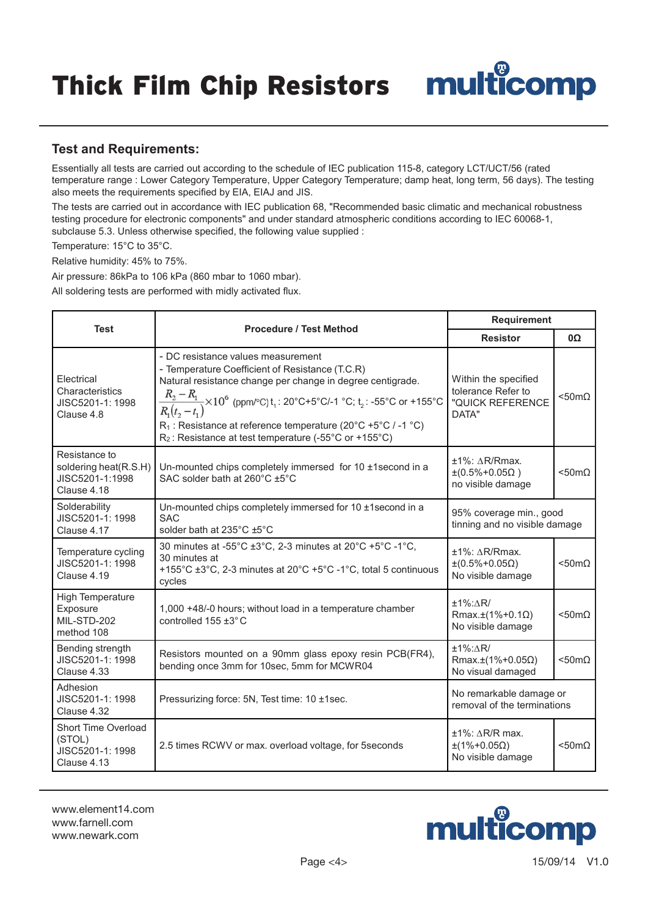#### **Test and Requirements:**

Essentially all tests are carried out according to the schedule of IEC publication 115-8, category LCT/UCT/56 (rated temperature range : Lower Category Temperature, Upper Category Temperature; damp heat, long term, 56 days). The testing also meets the requirements specified by EIA, EIAJ and JIS.

The tests are carried out in accordance with IEC publication 68, "Recommended basic climatic and mechanical robustness testing procedure for electronic components" and under standard atmospheric conditions according to IEC 60068-1, subclause 5.3. Unless otherwise specified, the following value supplied :

Temperature: 15°C to 35°C.

Relative humidity: 45% to 75%.

Air pressure: 86kPa to 106 kPa (860 mbar to 1060 mbar).

All soldering tests are performed with midly activated flux.

|                                                                                                                           |                                                                                                                                                                                                                                                                                                                                                                                                                       | Requirement                                                                     |                       |  |
|---------------------------------------------------------------------------------------------------------------------------|-----------------------------------------------------------------------------------------------------------------------------------------------------------------------------------------------------------------------------------------------------------------------------------------------------------------------------------------------------------------------------------------------------------------------|---------------------------------------------------------------------------------|-----------------------|--|
| <b>Test</b>                                                                                                               | <b>Procedure / Test Method</b>                                                                                                                                                                                                                                                                                                                                                                                        | <b>Resistor</b>                                                                 | 0Ω                    |  |
| Electrical<br>Characteristics<br>JISC5201-1: 1998<br>Clause 4.8                                                           | - DC resistance values measurement<br>- Temperature Coefficient of Resistance (T.C.R)<br>Natural resistance change per change in degree centigrade.<br>$\frac{R_2 - R_1}{R_1(t_2 - t_1)}$ × 10 <sup>6</sup> (ppm/°C) t <sub>1</sub> : 20°C+5°C/-1 °C; t <sub>2</sub> : -55°C or +155°C<br>$R_1$ : Resistance at reference temperature (20°C +5°C / -1 °C)<br>$R_2$ : Resistance at test temperature (-55°C or +155°C) |                                                                                 | $< 50 \text{m}\Omega$ |  |
| Resistance to<br>soldering heat(R.S.H)<br>JISC5201-1:1998<br>Clause 4.18                                                  | Un-mounted chips completely immersed for 10 ±1second in a<br>SAC solder bath at 260°C ±5°C                                                                                                                                                                                                                                                                                                                            | $±1\%$ : $\Delta$ R/Rmax.<br>$\pm (0.5\% + 0.05\Omega)$<br>no visible damage    | $< 50 \text{m}\Omega$ |  |
| Solderability<br>JISC5201-1: 1998<br>Clause 4.17                                                                          | Un-mounted chips completely immersed for 10 ±1 second in a<br><b>SAC</b><br>solder bath at 235°C ±5°C                                                                                                                                                                                                                                                                                                                 | 95% coverage min., good<br>tinning and no visible damage                        |                       |  |
| Temperature cycling<br>JISC5201-1: 1998<br>Clause 4.19                                                                    | 30 minutes at -55°C ±3°C, 2-3 minutes at 20°C +5°C -1°C,<br>30 minutes at<br>+155°C ±3°C, 2-3 minutes at 20°C +5°C -1°C, total 5 continuous<br>cycles                                                                                                                                                                                                                                                                 | $±1\%$ : $\triangle$ R/Rmax.<br>$\pm (0.5\% + 0.05\Omega)$<br>No visible damage | $<$ 50m $\Omega$      |  |
| <b>High Temperature</b><br>Exposure<br>MIL-STD-202<br>method 108                                                          | 1,000 +48/-0 hours; without load in a temperature chamber<br>controlled $155 \pm 3^{\circ}$ C                                                                                                                                                                                                                                                                                                                         | $±1\%:\triangle R/$<br>Rmax.±(1%+0.1Ω)<br>No visible damage                     | $<$ 50m $\Omega$      |  |
| Bending strength<br>JISC5201-1: 1998<br>Clause 4.33                                                                       | Resistors mounted on a 90mm glass epoxy resin PCB(FR4),<br>bending once 3mm for 10sec, 5mm for MCWR04                                                                                                                                                                                                                                                                                                                 | $±1\%:\triangle R/$<br>Rmax.±(1%+0.05Ω)<br>No visual damaged                    | $<$ 50m $\Omega$      |  |
| Adhesion<br>JISC5201-1: 1998<br>Clause 4.32                                                                               | Pressurizing force: 5N, Test time: 10 ±1sec.                                                                                                                                                                                                                                                                                                                                                                          | No remarkable damage or<br>removal of the terminations                          |                       |  |
| Short Time Overload<br>(STOL)<br>2.5 times RCWV or max. overload voltage, for 5seconds<br>JISC5201-1: 1998<br>Clause 4.13 |                                                                                                                                                                                                                                                                                                                                                                                                                       | $±1\%$ : $\Delta$ R/R max.<br>$\pm(1\% + 0.05\Omega)$<br>No visible damage      | $<$ 50m $\Omega$      |  |

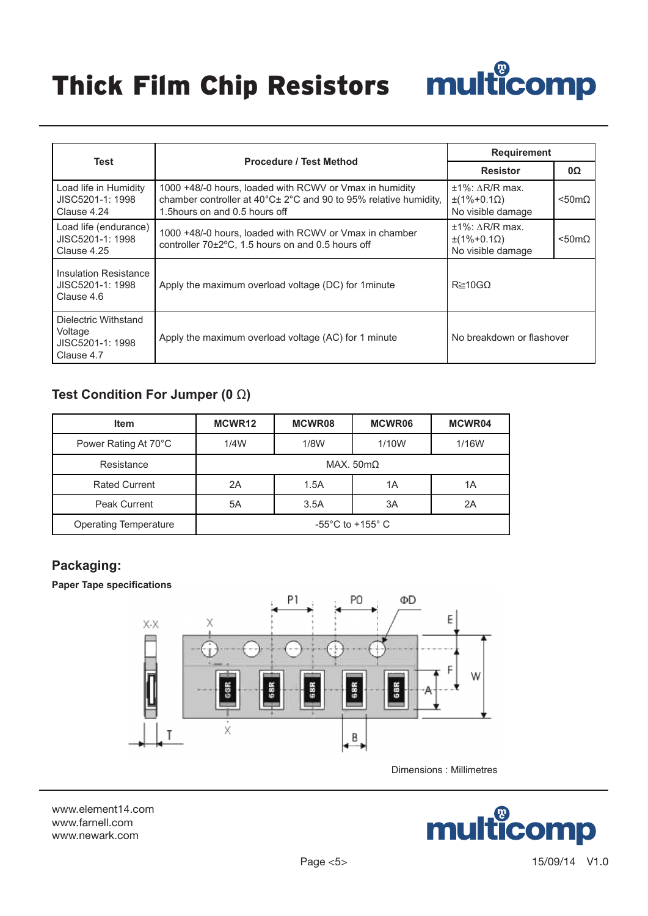## Thick Film Chip Resistors

| <b>THICK FHIII WHIP RESISTUPS</b>                        | <b>THURGOTHY</b>                                                                                                                                              |                                                                              |                       |
|----------------------------------------------------------|---------------------------------------------------------------------------------------------------------------------------------------------------------------|------------------------------------------------------------------------------|-----------------------|
|                                                          |                                                                                                                                                               | <b>Requirement</b>                                                           |                       |
| <b>Test</b>                                              | <b>Procedure / Test Method</b>                                                                                                                                | <b>Resistor</b>                                                              | 0Ω                    |
| Load life in Humidity<br>JISC5201-1: 1998<br>Clause 4.24 | 1000 +48/-0 hours, loaded with RCWV or Vmax in humidity<br>chamber controller at 40°C± 2°C and 90 to 95% relative humidity,<br>1.5 hours on and 0.5 hours off | $±1\%$ : $\triangle R/R$ max.<br>$\pm(1\% + 0.1\Omega)$<br>No visible damage | $< 50 \text{m}\Omega$ |
| Load life (endurance)<br>JISC5201-1: 1998<br>Clause 4.25 | 1000 +48/-0 hours, loaded with RCWV or Vmax in chamber<br>controller 70±2°C, 1.5 hours on and 0.5 hours off                                                   | $±1\%$ : $\triangle R/R$ max.<br>$\pm(1\% + 0.1\Omega)$<br>No visible damage | $<$ 50m $\Omega$      |
| <b>Insulation Resistance</b>                             |                                                                                                                                                               |                                                                              |                       |

Apply the maximum overload voltage (DC) for 1minute  $\left|$  R ≥10G $\Omega$ 

| Voltage<br>JISC5201-1: 1998<br>Clause 4.7 | Apply the maximum overload voltage (AC) for 1 minute |
|-------------------------------------------|------------------------------------------------------|
|                                           |                                                      |

### **Test Condition For Jumper (0** Ω**)**

| <b>Item</b>                  | MCWR12                   | MCWR08                              | <b>MCWR06</b> | MCWR04 |  |
|------------------------------|--------------------------|-------------------------------------|---------------|--------|--|
| Power Rating At 70°C         | 1/4W                     | 1/8W                                | 1/10W         | 1/16W  |  |
| Resistance                   | MAX. $50 \text{m}\Omega$ |                                     |               |        |  |
| <b>Rated Current</b>         | 2A                       | 1.5A                                | 1Α            | 1Α     |  |
| <b>Peak Current</b>          | 5A                       | 3.5A                                | 3A            | 2A     |  |
| <b>Operating Temperature</b> |                          | $-55^{\circ}$ C to $+155^{\circ}$ C |               |        |  |

#### **Packaging:**

JISC5201-1: 1998 Clause 4.6

Dielectric Withstand

#### **Paper Tape specifications**



Dimensions : Millimetres

www.element14.com www.farnell.com www.newark.com



No breakdown or flashover

 $\boldsymbol{\mathbb{C}}$